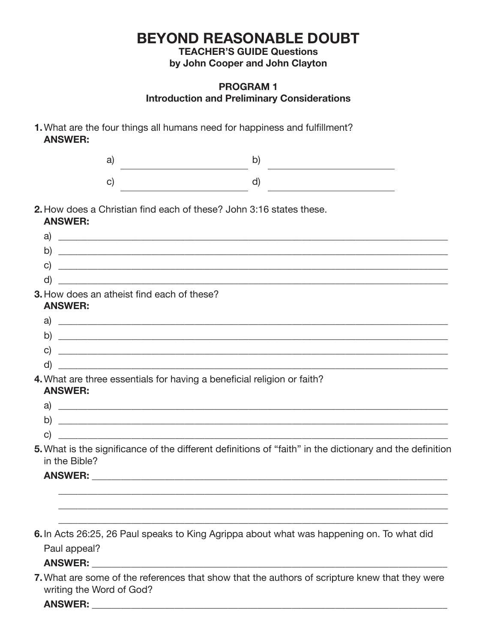**TEACHER'S GUIDE Questions by John Cooper and John Clayton**

### **PROGRAM 1 Introduction and Preliminary Considerations**

**1.** What are the four things all humans need for happiness and fulfillment?  **ANSWER:**

| a)                                                                  | b)                                                                                                                     |  |
|---------------------------------------------------------------------|------------------------------------------------------------------------------------------------------------------------|--|
| $\mathbf{C}$                                                        | d)                                                                                                                     |  |
| <b>ANSWER:</b>                                                      | <b>2.</b> How does a Christian find each of these? John 3:16 states these.                                             |  |
|                                                                     | a) $\overline{\phantom{a}}$                                                                                            |  |
| b)                                                                  |                                                                                                                        |  |
| $\mathsf{C}$                                                        | <u> 1989 - Jan Barbara, margaret eta biztanleria (h. 1989).</u>                                                        |  |
| d)                                                                  | <u> 1989 - Johann Harry Harry Harry Harry Harry Harry Harry Harry Harry Harry Harry Harry Harry Harry Harry Harry</u>  |  |
| <b>3.</b> How does an atheist find each of these?<br><b>ANSWER:</b> |                                                                                                                        |  |
|                                                                     |                                                                                                                        |  |
| b)                                                                  | <u> 1989 - Jan Barbara, martxa al II-lea (h. 1989).</u>                                                                |  |
| C)                                                                  | <u> 2008 - Jan Barnett, amerikan berlindaren batean batean batean batean batean batean batean batean batean batean</u> |  |
| d)                                                                  | and the state of the state of the state of the state of the state of the state of the state of the state of the        |  |
| <b>ANSWER:</b>                                                      | 4. What are three essentials for having a beneficial religion or faith?                                                |  |
|                                                                     |                                                                                                                        |  |
|                                                                     |                                                                                                                        |  |
| C)                                                                  |                                                                                                                        |  |
| in the Bible?                                                       | 5. What is the significance of the different definitions of "faith" in the dictionary and the definition               |  |
|                                                                     |                                                                                                                        |  |
|                                                                     |                                                                                                                        |  |
|                                                                     |                                                                                                                        |  |
|                                                                     | 6. In Acts 26:25, 26 Paul speaks to King Agrippa about what was happening on. To what did                              |  |
| Paul appeal?                                                        |                                                                                                                        |  |
|                                                                     |                                                                                                                        |  |
| writing the Word of God?                                            | 7. What are some of the references that show that the authors of scripture knew that they were                         |  |

**ANSWER:** \_\_\_\_\_\_\_\_\_\_\_\_\_\_\_\_\_\_\_\_\_\_\_\_\_\_\_\_\_\_\_\_\_\_\_\_\_\_\_\_\_\_\_\_\_\_\_\_\_\_\_\_\_\_\_\_\_\_\_\_\_\_\_\_\_\_\_\_\_\_\_\_\_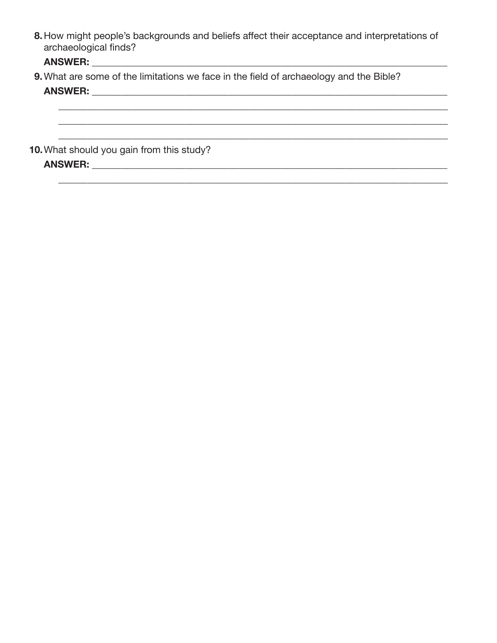8. How might people's backgrounds and beliefs affect their acceptance and interpretations of archaeological finds?

#### ANSWER:

9. What are some of the limitations we face in the field of archaeology and the Bible? **ANSWER:** ANSWER:

10. What should you gain from this study? ANSWER: ANSWER: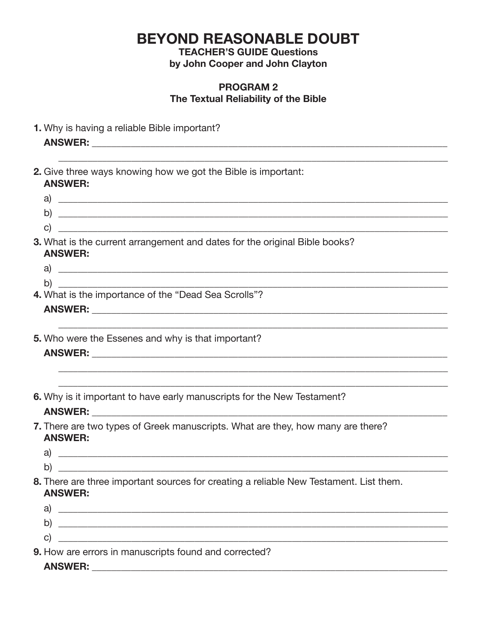**TEACHER'S GUIDE Questions** 

by John Cooper and John Clayton

#### **PROGRAM 2** The Textual Reliability of the Bible

1. Why is having a reliable Bible important?

- **2.** Give three ways knowing how we got the Bible is important: **ANSWER:**
- $\mathsf{a}$  $\Box$ 
	- $\mathbf{C}$
- 3. What is the current arrangement and dates for the original Bible books? **ANSWER** 
	- $\mathbf{a}$ b)
- 4. What is the importance of the "Dead Sea Scrolls"?

5. Who were the Essenes and why is that important?

6. Why is it important to have early manuscripts for the New Testament?

#### ANSWER: ANSWER: A SAN AND A SAN AND A SAN AND A SAN AND A SAN AND A SAN AND A SAN AND A SAN AND A SAN AND A SA

- 7. There are two types of Greek manuscripts. What are they, how many are there? **ANSWER:** 
	- $\mathsf{a}$ ) and the contract of  $\mathsf{a}$  and  $\mathsf{a}$  and  $\mathsf{a}$  and  $\mathsf{a}$  and  $\mathsf{a}$  and  $\mathsf{a}$  and  $\mathsf{a}$  and  $\mathsf{a}$  and  $\mathsf{a}$  and  $\mathsf{a}$  and  $\mathsf{a}$  and  $\mathsf{a}$  and  $\mathsf{a}$  and  $\mathsf{a}$  and  $\mathsf{a}$
- 8. There are three important sources for creating a reliable New Testament. List them. **ANSWER:** 
	- $\mathbf{C}$
- 9. How are errors in manuscripts found and corrected?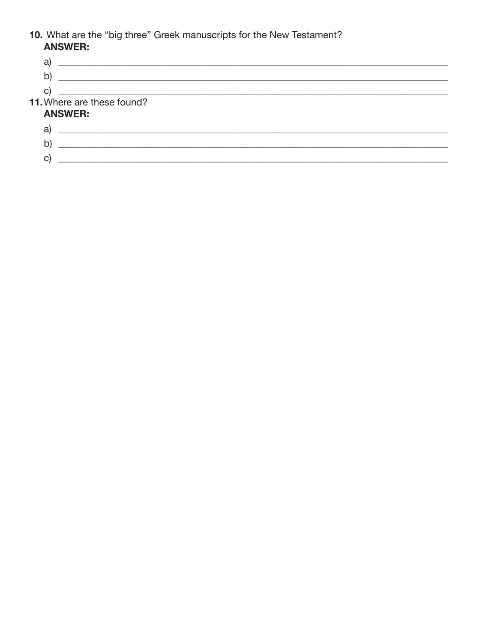# 10. What are the "big three" Greek manuscripts for the New Testament?<br>**ANSWER:**

| a                          |  |
|----------------------------|--|
| b)                         |  |
| C                          |  |
| 11. Where are these found? |  |
| <b>ANSWER:</b>             |  |
| a                          |  |
| b)                         |  |
| C.                         |  |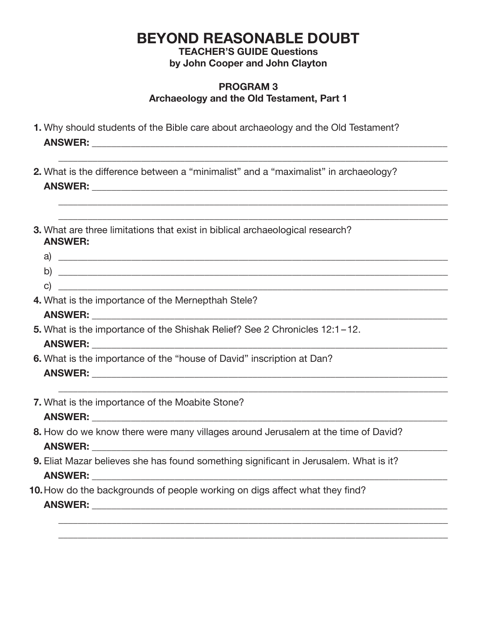**TEACHER'S GUIDE Questions by John Cooper and John Clayton**

#### **PROGRAM 3 Archaeology and the Old Testament, Part 1**

 $\mathcal{L} = \{ \mathcal{L} = \{ \mathcal{L} = \mathcal{L} \} \cup \{ \mathcal{L} = \{ \mathcal{L} = \mathcal{L} \} \cup \{ \mathcal{L} = \{ \mathcal{L} = \mathcal{L} \} \cup \{ \mathcal{L} = \{ \mathcal{L} = \mathcal{L} \} \cup \{ \mathcal{L} = \{ \mathcal{L} = \mathcal{L} \} \cup \{ \mathcal{L} = \{ \mathcal{L} = \mathcal{L} \} \cup \{ \mathcal{L} = \{ \mathcal{L} = \mathcal{L} \} \cup \{ \mathcal{L} = \{ \mathcal{L}$ 

 $\mathcal{L} = \{ \mathcal{L} = \{ \mathcal{L} = \mathcal{L} \} \cup \{ \mathcal{L} = \{ \mathcal{L} = \mathcal{L} \} \cup \{ \mathcal{L} = \{ \mathcal{L} = \mathcal{L} \} \cup \{ \mathcal{L} = \{ \mathcal{L} = \mathcal{L} \} \cup \{ \mathcal{L} = \{ \mathcal{L} = \mathcal{L} \} \cup \{ \mathcal{L} = \{ \mathcal{L} = \mathcal{L} \} \cup \{ \mathcal{L} = \{ \mathcal{L} = \mathcal{L} \} \cup \{ \mathcal{L} = \{ \mathcal{L}$  $\mathcal{L} = \{ \mathcal{L} = \{ \mathcal{L} = \mathcal{L} \} \cup \{ \mathcal{L} = \{ \mathcal{L} = \mathcal{L} \} \cup \{ \mathcal{L} = \{ \mathcal{L} = \mathcal{L} \} \cup \{ \mathcal{L} = \{ \mathcal{L} = \mathcal{L} \} \cup \{ \mathcal{L} = \{ \mathcal{L} = \mathcal{L} \} \cup \{ \mathcal{L} = \{ \mathcal{L} = \mathcal{L} \} \cup \{ \mathcal{L} = \{ \mathcal{L} = \mathcal{L} \} \cup \{ \mathcal{L} = \{ \mathcal{L}$ 

- **1.** Why should students of the Bible care about archaeology and the Old Testament? **ANSWER:**  $\blacksquare$
- **2.** What is the difference between a "minimalist" and a "maximalist" in archaeology?  **ANSWER:** \_\_\_\_\_\_\_\_\_\_\_\_\_\_\_\_\_\_\_\_\_\_\_\_\_\_\_\_\_\_\_\_\_\_\_\_\_\_\_\_\_\_\_\_\_\_\_\_\_\_\_\_\_\_\_\_\_\_\_\_\_\_\_\_\_\_\_\_\_\_\_\_\_
- **3.** What are three limitations that exist in biblical archaeological research? **ANSWER:**
	- a) \_\_\_\_\_\_\_\_\_\_\_\_\_\_\_\_\_\_\_\_\_\_\_\_\_\_\_\_\_\_\_\_\_\_\_\_\_\_\_\_\_\_\_\_\_\_\_\_\_\_\_\_\_\_\_\_\_\_\_\_\_\_\_\_\_\_\_\_\_\_\_\_\_\_\_\_\_\_\_\_ b) \_\_\_\_\_\_\_\_\_\_\_\_\_\_\_\_\_\_\_\_\_\_\_\_\_\_\_\_\_\_\_\_\_\_\_\_\_\_\_\_\_\_\_\_\_\_\_\_\_\_\_\_\_\_\_\_\_\_\_\_\_\_\_\_\_\_\_\_\_\_\_\_\_\_\_\_\_\_\_\_

\_\_\_\_\_\_\_\_\_\_\_\_\_\_\_\_\_\_\_\_\_\_\_\_\_\_\_\_\_\_\_\_\_\_\_\_\_\_\_\_\_\_\_\_\_\_\_\_\_\_\_\_\_\_\_\_\_\_\_\_\_\_\_\_\_\_\_\_\_\_\_\_\_\_\_\_\_\_\_\_

 \_\_\_\_\_\_\_\_\_\_\_\_\_\_\_\_\_\_\_\_\_\_\_\_\_\_\_\_\_\_\_\_\_\_\_\_\_\_\_\_\_\_\_\_\_\_\_\_\_\_\_\_\_\_\_\_\_\_\_\_\_\_\_\_\_\_\_\_\_\_\_\_\_\_\_\_\_\_\_\_ \_\_\_\_\_\_\_\_\_\_\_\_\_\_\_\_\_\_\_\_\_\_\_\_\_\_\_\_\_\_\_\_\_\_\_\_\_\_\_\_\_\_\_\_\_\_\_\_\_\_\_\_\_\_\_\_\_\_\_\_\_\_\_\_\_\_\_\_\_\_\_\_\_\_\_\_\_\_\_\_

**4.** What is the importance of the Mernepthah Stele?

#### **ANSWER:** \_\_\_\_\_\_\_\_\_\_\_\_\_\_\_\_\_\_\_\_\_\_\_\_\_\_\_\_\_\_\_\_\_\_\_\_\_\_\_\_\_\_\_\_\_\_\_\_\_\_\_\_\_\_\_\_\_\_\_\_\_\_\_\_\_\_\_\_\_\_\_\_\_

c)

- **5.** What is the importance of the Shishak Relief? See 2 Chronicles 12:1-12.  **ANSWER:** \_\_\_\_\_\_\_\_\_\_\_\_\_\_\_\_\_\_\_\_\_\_\_\_\_\_\_\_\_\_\_\_\_\_\_\_\_\_\_\_\_\_\_\_\_\_\_\_\_\_\_\_\_\_\_\_\_\_\_\_\_\_\_\_\_\_\_\_\_\_\_\_\_
- **6.** What is the importance of the "house of David" inscription at Dan?  **ANSWER:** \_\_\_\_\_\_\_\_\_\_\_\_\_\_\_\_\_\_\_\_\_\_\_\_\_\_\_\_\_\_\_\_\_\_\_\_\_\_\_\_\_\_\_\_\_\_\_\_\_\_\_\_\_\_\_\_\_\_\_\_\_\_\_\_\_\_\_\_\_\_\_\_\_
- **7.** What is the importance of the Moabite Stone?  **ANSWER:** \_\_\_\_\_\_\_\_\_\_\_\_\_\_\_\_\_\_\_\_\_\_\_\_\_\_\_\_\_\_\_\_\_\_\_\_\_\_\_\_\_\_\_\_\_\_\_\_\_\_\_\_\_\_\_\_\_\_\_\_\_\_\_\_\_\_\_\_\_\_\_\_\_

- **8.** How do we know there were many villages around Jerusalem at the time of David?  **ANSWER:** \_\_\_\_\_\_\_\_\_\_\_\_\_\_\_\_\_\_\_\_\_\_\_\_\_\_\_\_\_\_\_\_\_\_\_\_\_\_\_\_\_\_\_\_\_\_\_\_\_\_\_\_\_\_\_\_\_\_\_\_\_\_\_\_\_\_\_\_\_\_\_\_\_
- **9.** Eliat Mazar believes she has found something significant in Jerusalem. What is it?  **ANSWER:** \_\_\_\_\_\_\_\_\_\_\_\_\_\_\_\_\_\_\_\_\_\_\_\_\_\_\_\_\_\_\_\_\_\_\_\_\_\_\_\_\_\_\_\_\_\_\_\_\_\_\_\_\_\_\_\_\_\_\_\_\_\_\_\_\_\_\_\_\_\_\_\_\_
- **10.** How do the backgrounds of people working on digs affect what they find?  **ANSWER:** \_\_\_\_\_\_\_\_\_\_\_\_\_\_\_\_\_\_\_\_\_\_\_\_\_\_\_\_\_\_\_\_\_\_\_\_\_\_\_\_\_\_\_\_\_\_\_\_\_\_\_\_\_\_\_\_\_\_\_\_\_\_\_\_\_\_\_\_\_\_\_\_\_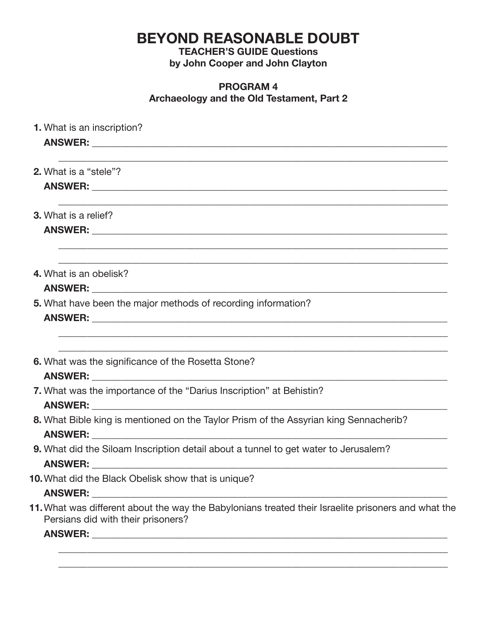**TEACHER'S GUIDE Questions by John Cooper and John Clayton**

#### **PROGRAM 4 Archaeology and the Old Testament, Part 2**

| <b>1.</b> What is an inscription?                                                                                                         |
|-------------------------------------------------------------------------------------------------------------------------------------------|
|                                                                                                                                           |
| 2. What is a "stele"?                                                                                                                     |
|                                                                                                                                           |
| <b>3.</b> What is a relief?                                                                                                               |
|                                                                                                                                           |
| ,我们也不能在这里的时候,我们也不能在这里的时候,我们也不能会在这里的时候,我们也不能会在这里的时候,我们也不能会在这里的时候,我们也不能会在这里的时候,我们也不<br>4. What is an obelisk?                               |
| 5. What have been the major methods of recording information?                                                                             |
| 6. What was the significance of the Rosetta Stone?                                                                                        |
| 7. What was the importance of the "Darius Inscription" at Behistin?                                                                       |
| 8. What Bible king is mentioned on the Taylor Prism of the Assyrian king Sennacherib?                                                     |
| 9. What did the Siloam Inscription detail about a tunnel to get water to Jerusalem?                                                       |
| 10. What did the Black Obelisk show that is unique?                                                                                       |
| 11. What was different about the way the Babylonians treated their Israelite prisoners and what the<br>Persians did with their prisoners? |
|                                                                                                                                           |

\_\_\_\_\_\_\_\_\_\_\_\_\_\_\_\_\_\_\_\_\_\_\_\_\_\_\_\_\_\_\_\_\_\_\_\_\_\_\_\_\_\_\_\_\_\_\_\_\_\_\_\_\_\_\_\_\_\_\_\_\_\_\_\_\_\_\_\_\_\_\_\_\_\_\_\_\_\_\_\_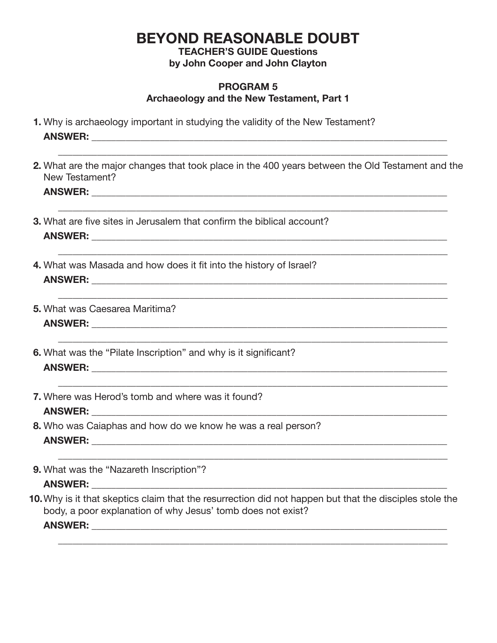**TEACHER'S GUIDE Questions by John Cooper and John Clayton**

#### **PROGRAM 5 Archaeology and the New Testament, Part 1**

- **1.** Why is archaeology important in studying the validity of the New Testament?  **ANSWER:** \_\_\_\_\_\_\_\_\_\_\_\_\_\_\_\_\_\_\_\_\_\_\_\_\_\_\_\_\_\_\_\_\_\_\_\_\_\_\_\_\_\_\_\_\_\_\_\_\_\_\_\_\_\_\_\_\_\_\_\_\_\_\_\_\_\_\_\_\_\_\_\_\_
- **2.** What are the major changes that took place in the 400 years between the Old Testament and the New Testament?

 $\mathcal{L} = \{ \mathcal{L} = \{ \mathcal{L} = \mathcal{L} \} \cup \{ \mathcal{L} = \{ \mathcal{L} = \mathcal{L} \} \cup \{ \mathcal{L} = \{ \mathcal{L} = \mathcal{L} \} \cup \{ \mathcal{L} = \{ \mathcal{L} = \mathcal{L} \} \cup \{ \mathcal{L} = \{ \mathcal{L} = \mathcal{L} \} \cup \{ \mathcal{L} = \{ \mathcal{L} = \mathcal{L} \} \cup \{ \mathcal{L} = \{ \mathcal{L} = \mathcal{L} \} \cup \{ \mathcal{L} = \{ \mathcal{L}$ 

 $\mathcal{L} = \{ \mathcal{L} = \{ \mathcal{L} = \mathcal{L} \} \cup \{ \mathcal{L} = \{ \mathcal{L} = \mathcal{L} \} \cup \{ \mathcal{L} = \{ \mathcal{L} = \mathcal{L} \} \cup \{ \mathcal{L} = \{ \mathcal{L} = \mathcal{L} \} \cup \{ \mathcal{L} = \{ \mathcal{L} = \mathcal{L} \} \cup \{ \mathcal{L} = \{ \mathcal{L} = \mathcal{L} \} \cup \{ \mathcal{L} = \{ \mathcal{L} = \mathcal{L} \} \cup \{ \mathcal{L} = \{ \mathcal{L}$ 

 $\mathcal{L} = \{ \mathcal{L} = \{ \mathcal{L} = \mathcal{L} \} \cup \{ \mathcal{L} = \{ \mathcal{L} = \mathcal{L} \} \cup \{ \mathcal{L} = \{ \mathcal{L} = \mathcal{L} \} \cup \{ \mathcal{L} = \{ \mathcal{L} = \mathcal{L} \} \cup \{ \mathcal{L} = \{ \mathcal{L} = \mathcal{L} \} \cup \{ \mathcal{L} = \{ \mathcal{L} = \mathcal{L} \} \cup \{ \mathcal{L} = \{ \mathcal{L} = \mathcal{L} \} \cup \{ \mathcal{L} = \{ \mathcal{L}$ 

 $\mathcal{L} = \{ \mathcal{L} = \{ \mathcal{L} = \mathcal{L} \} \cup \{ \mathcal{L} = \{ \mathcal{L} = \mathcal{L} \} \cup \{ \mathcal{L} = \{ \mathcal{L} = \mathcal{L} \} \cup \{ \mathcal{L} = \{ \mathcal{L} = \mathcal{L} \} \cup \{ \mathcal{L} = \{ \mathcal{L} = \mathcal{L} \} \cup \{ \mathcal{L} = \{ \mathcal{L} = \mathcal{L} \} \cup \{ \mathcal{L} = \{ \mathcal{L} = \mathcal{L} \} \cup \{ \mathcal{L} = \{ \mathcal{L}$ 

 $\mathcal{L} = \{ \mathcal{L} = \{ \mathcal{L} = \mathcal{L} \} \cup \{ \mathcal{L} = \{ \mathcal{L} = \mathcal{L} \} \cup \{ \mathcal{L} = \{ \mathcal{L} = \mathcal{L} \} \cup \{ \mathcal{L} = \{ \mathcal{L} = \mathcal{L} \} \cup \{ \mathcal{L} = \{ \mathcal{L} = \mathcal{L} \} \cup \{ \mathcal{L} = \{ \mathcal{L} = \mathcal{L} \} \cup \{ \mathcal{L} = \{ \mathcal{L} = \mathcal{L} \} \cup \{ \mathcal{L} = \{ \mathcal{L}$ 

 $\mathcal{L} = \{ \mathcal{L} = \{ \mathcal{L} = \mathcal{L} \} \cup \{ \mathcal{L} = \{ \mathcal{L} = \mathcal{L} \} \cup \{ \mathcal{L} = \{ \mathcal{L} = \mathcal{L} \} \cup \{ \mathcal{L} = \{ \mathcal{L} = \mathcal{L} \} \cup \{ \mathcal{L} = \{ \mathcal{L} = \mathcal{L} \} \cup \{ \mathcal{L} = \{ \mathcal{L} = \mathcal{L} \} \cup \{ \mathcal{L} = \{ \mathcal{L} = \mathcal{L} \} \cup \{ \mathcal{L} = \{ \mathcal{L}$ 

#### $\bm{\mathsf{ANSWER}:}\quad$

- **3.** What are five sites in Jerusalem that confirm the biblical account?  $\bm{\mathsf{ANSWER}:}\quad$
- **4.** What was Masada and how does it fit into the history of Israel?  **ANSWER:** \_\_\_\_\_\_\_\_\_\_\_\_\_\_\_\_\_\_\_\_\_\_\_\_\_\_\_\_\_\_\_\_\_\_\_\_\_\_\_\_\_\_\_\_\_\_\_\_\_\_\_\_\_\_\_\_\_\_\_\_\_\_\_\_\_\_\_\_\_\_\_\_\_
- **5.** What was Caesarea Maritima?  **ANSWER:** \_\_\_\_\_\_\_\_\_\_\_\_\_\_\_\_\_\_\_\_\_\_\_\_\_\_\_\_\_\_\_\_\_\_\_\_\_\_\_\_\_\_\_\_\_\_\_\_\_\_\_\_\_\_\_\_\_\_\_\_\_\_\_\_\_\_\_\_\_\_\_\_\_
- **6.** What was the "Pilate Inscription" and why is it significant?  **ANSWER:** \_\_\_\_\_\_\_\_\_\_\_\_\_\_\_\_\_\_\_\_\_\_\_\_\_\_\_\_\_\_\_\_\_\_\_\_\_\_\_\_\_\_\_\_\_\_\_\_\_\_\_\_\_\_\_\_\_\_\_\_\_\_\_\_\_\_\_\_\_\_\_\_\_
- **7.** Where was Herod's tomb and where was it found?

#### **ANSWER:** \_\_\_\_\_\_\_\_\_\_\_\_\_\_\_\_\_\_\_\_\_\_\_\_\_\_\_\_\_\_\_\_\_\_\_\_\_\_\_\_\_\_\_\_\_\_\_\_\_\_\_\_\_\_\_\_\_\_\_\_\_\_\_\_\_\_\_\_\_\_\_\_\_

- **8.** Who was Caiaphas and how do we know he was a real person?  **ANSWER:** \_\_\_\_\_\_\_\_\_\_\_\_\_\_\_\_\_\_\_\_\_\_\_\_\_\_\_\_\_\_\_\_\_\_\_\_\_\_\_\_\_\_\_\_\_\_\_\_\_\_\_\_\_\_\_\_\_\_\_\_\_\_\_\_\_\_\_\_\_\_\_\_\_
- **9.** What was the "Nazareth Inscription"?  **ANSWER:** \_\_\_\_\_\_\_\_\_\_\_\_\_\_\_\_\_\_\_\_\_\_\_\_\_\_\_\_\_\_\_\_\_\_\_\_\_\_\_\_\_\_\_\_\_\_\_\_\_\_\_\_\_\_\_\_\_\_\_\_\_\_\_\_\_\_\_\_\_\_\_\_\_
- **10.** Why is it that skeptics claim that the resurrection did not happen but that the disciples stole the body, a poor explanation of why Jesus' tomb does not exist?

\_\_\_\_\_\_\_\_\_\_\_\_\_\_\_\_\_\_\_\_\_\_\_\_\_\_\_\_\_\_\_\_\_\_\_\_\_\_\_\_\_\_\_\_\_\_\_\_\_\_\_\_\_\_\_\_\_\_\_\_\_\_\_\_\_\_\_\_\_\_\_\_\_\_\_\_\_\_\_\_

 **ANSWER:** \_\_\_\_\_\_\_\_\_\_\_\_\_\_\_\_\_\_\_\_\_\_\_\_\_\_\_\_\_\_\_\_\_\_\_\_\_\_\_\_\_\_\_\_\_\_\_\_\_\_\_\_\_\_\_\_\_\_\_\_\_\_\_\_\_\_\_\_\_\_\_\_\_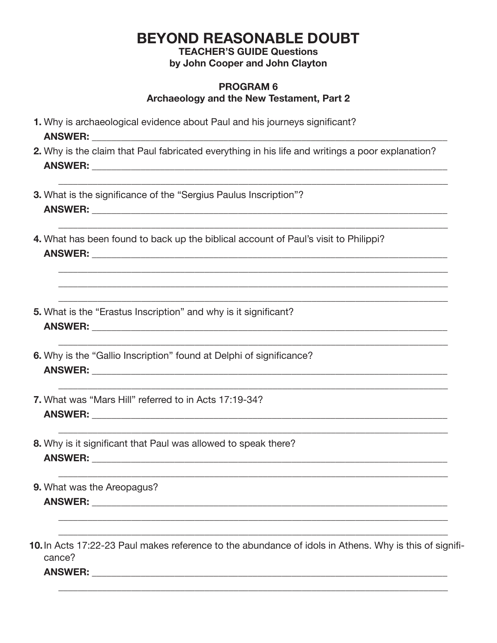**TEACHER'S GUIDE Questions** by John Cooper and John Clayton

#### **PROGRAM 6** Archaeology and the New Testament, Part 2

- 1. Why is archaeological evidence about Paul and his journeys significant? **ANSWER:** ANSWER:
- 2. Why is the claim that Paul fabricated everything in his life and writings a poor explanation? **ANSWER:** ANSWER:
- **3.** What is the significance of the "Sergius Paulus Inscription"? **ANSWER:** ANSWER:
- 4. What has been found to back up the biblical account of Paul's visit to Philippi?
- 5. What is the "Erastus Inscription" and why is it significant? ANSWER: 2008 2010 2020 2020 2020 2021 2021 2022 2021 2022 2021 2022 2022 2022 2021 2022 2022 2022 2021 2021 20
- 6. Why is the "Gallio Inscription" found at Delphi of significance?
- 7. What was "Mars Hill" referred to in Acts 17:19-34?
- 8. Why is it significant that Paul was allowed to speak there?
- 9. What was the Areopagus? **ANSWER: Example 2008** 
	-
- 10. In Acts 17:22-23 Paul makes reference to the abundance of idols in Athens. Why is this of significance?

**ANSWER:** ANSWER: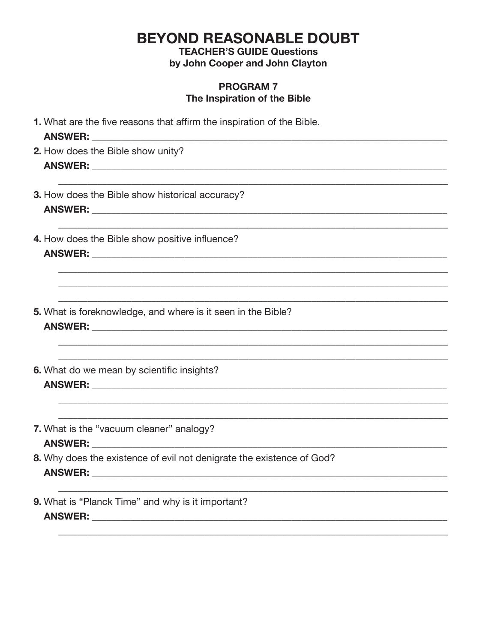**TEACHER'S GUIDE Questions** by John Cooper and John Clayton

#### **PROGRAM 7** The Inspiration of the Bible

| 1. What are the five reasons that affirm the inspiration of the Bible. |
|------------------------------------------------------------------------|
| 2. How does the Bible show unity?                                      |
| 3. How does the Bible show historical accuracy?                        |
| 4. How does the Bible show positive influence?<br>ANSWER: ANSWER:      |
|                                                                        |
| 5. What is foreknowledge, and where is it seen in the Bible?           |
| 6. What do we mean by scientific insights?                             |
| 7. What is the "vacuum cleaner" analogy?                               |
| 8. Why does the existence of evil not denigrate the existence of God?  |
| 9. What is "Planck Time" and why is it important?                      |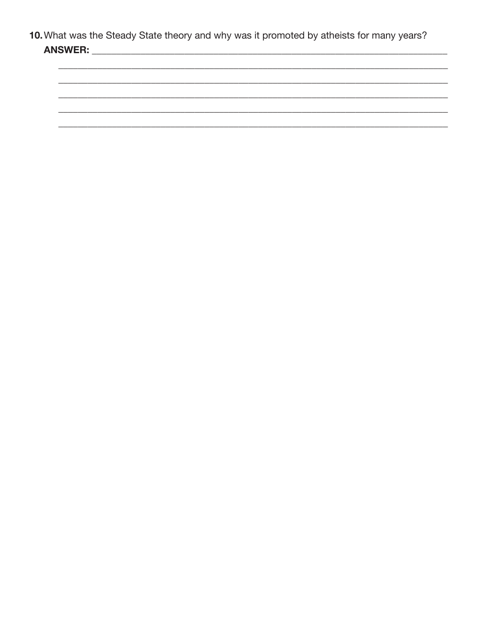10. What was the Steady State theory and why was it promoted by atheists for many years? 

<u> 1989 - Johann John Stoff, deutscher Stoffen und der Stoffen und der Stoffen und der Stoffen und der Stoffen</u>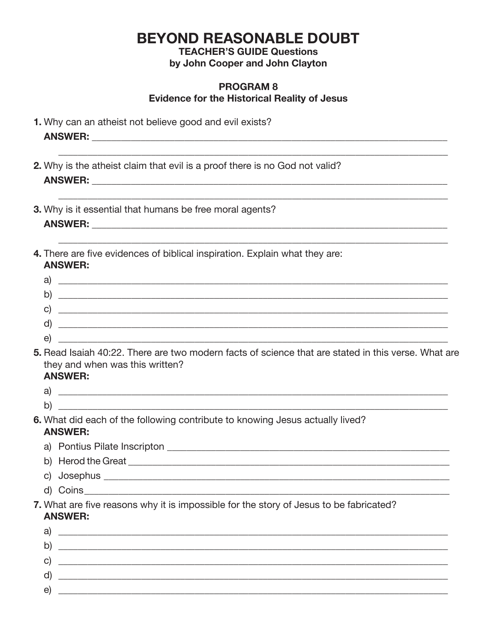**TEACHER'S GUIDE Questions** 

by John Cooper and John Clayton

#### **PROGRAM 8 Evidence for the Historical Reality of Jesus**

- 1. Why can an atheist not believe good and evil exists?
- 2. Why is the atheist claim that evil is a proof there is no God not valid?
- 3. Why is it essential that humans be free moral agents?
- 4. There are five evidences of biblical inspiration. Explain what they are: **ANSWER:**

| ⌒      |  |
|--------|--|
| о      |  |
|        |  |
|        |  |
| ⌒<br>ັ |  |

5. Read Isaiah 40:22. There are two modern facts of science that are stated in this verse. What are they and when was this written? **ANSWER:** 

- $\mathsf{a}$ ) and  $\mathsf{a}$  and  $\mathsf{a}$  and  $\mathsf{a}$  and  $\mathsf{a}$  and  $\mathsf{a}$  and  $\mathsf{a}$  and  $\mathsf{a}$  and  $\mathsf{a}$  and  $\mathsf{a}$  and  $\mathsf{a}$  and  $\mathsf{a}$  and  $\mathsf{a}$  and  $\mathsf{a}$  and  $\mathsf{a}$  and  $\mathsf{a}$  and  $\mathsf{a}$  and
- $\mathsf{b}$ )
- 6. What did each of the following contribute to knowing Jesus actually lived? **ANSWER:** 
	- a) Pontius Pilate Inscripton et al. and the contract of the contract of the contract of the contract of the contract of the contract of the contract of the contract of the contract of the contract of the contract of the co
	- b) Herod the Great **Executive Contract Contract Contract Contract Contract Contract Contract Contract Contract Contract Contract Contract Contract Contract Contract Contract Contract Contract Contract Contract Contract Con**
	-
	- d) Coins and the control of the control of the control of the control of the control of the control of the control of the control of the control of the control of the control of the control of the control of the control of
- 7. What are five reasons why it is impossible for the story of Jesus to be fabricated? **ANSWER:**

| a)           |  |
|--------------|--|
| $\mathsf{b}$ |  |
| $\mathbf{C}$ |  |
| <sub>U</sub> |  |
| e            |  |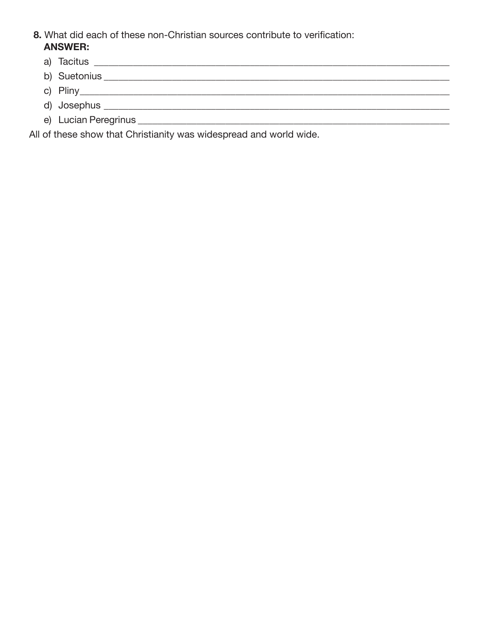- **8.** What did each of these non-Christian sources contribute to verification:  **ANSWER:**
	- a) Tacitus \_\_\_\_\_\_\_\_\_\_\_\_\_\_\_\_\_\_\_\_\_\_\_\_\_\_\_\_\_\_\_\_\_\_\_\_\_\_\_\_\_\_\_\_\_\_\_\_\_\_\_\_\_\_\_\_\_\_\_\_\_\_\_\_\_\_\_\_\_\_\_\_\_
	- b) Suetonius \_\_\_\_\_\_\_\_\_\_\_\_\_\_\_\_\_\_\_\_\_\_\_\_\_\_\_\_\_\_\_\_\_\_\_\_\_\_\_\_\_\_\_\_\_\_\_\_\_\_\_\_\_\_\_\_\_\_\_\_\_\_\_\_\_\_\_\_\_\_\_
	- c) Pliny
	- d) Josephus \_\_\_\_\_\_\_\_\_\_\_\_\_\_\_\_\_\_\_\_\_\_\_\_\_\_\_\_\_\_\_\_\_\_\_\_\_\_\_\_\_\_\_\_\_\_\_\_\_\_\_\_\_\_\_\_\_\_\_\_\_\_\_\_\_\_\_\_\_\_\_
	- e) Lucian Peregrinus \_\_\_\_\_\_\_\_\_\_\_\_\_\_\_\_\_\_\_\_\_\_\_\_\_\_\_\_\_\_\_\_\_\_\_\_\_\_\_\_\_\_\_\_\_\_\_\_\_\_\_\_\_\_\_\_\_\_\_\_\_\_\_\_

All of these show that Christianity was widespread and world wide.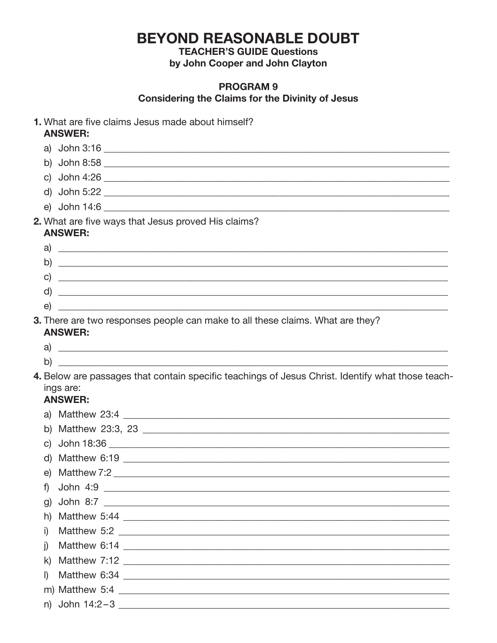**TEACHER'S GUIDE Questions** by John Cooper and John Clayton

#### **PROGRAM 9 Considering the Claims for the Divinity of Jesus**

|    | <b>ANSWER:</b>              | 1. What are five claims Jesus made about himself?                                                 |
|----|-----------------------------|---------------------------------------------------------------------------------------------------|
|    |                             | a) John 3:16                                                                                      |
|    |                             |                                                                                                   |
|    |                             | c) John 4:26                                                                                      |
|    |                             |                                                                                                   |
|    |                             |                                                                                                   |
|    | <b>ANSWER:</b>              | 2. What are five ways that Jesus proved His claims?                                               |
|    |                             | a) $\overline{\phantom{a}}$                                                                       |
|    |                             | $\mathsf{b)}$ $\overline{\phantom{a}}$                                                            |
|    |                             |                                                                                                   |
|    |                             | $\mathsf{d}$ ) $\blacksquare$                                                                     |
|    |                             |                                                                                                   |
|    | <b>ANSWER:</b>              | 3. There are two responses people can make to all these claims. What are they?                    |
|    |                             | $\mathsf{a}$ ) $\overline{\phantom{a}}$                                                           |
| b) |                             |                                                                                                   |
|    | ings are:<br><b>ANSWER:</b> | 4. Below are passages that contain specific teachings of Jesus Christ. Identify what those teach- |
|    |                             |                                                                                                   |
|    |                             |                                                                                                   |
|    |                             |                                                                                                   |
|    |                             |                                                                                                   |
|    |                             | e) Matthew 7:2                                                                                    |
| f) |                             |                                                                                                   |
| g) |                             |                                                                                                   |
| h) |                             |                                                                                                   |
| i) |                             |                                                                                                   |
| j) |                             |                                                                                                   |
| k) |                             |                                                                                                   |
| I) |                             |                                                                                                   |
|    |                             |                                                                                                   |
|    |                             |                                                                                                   |